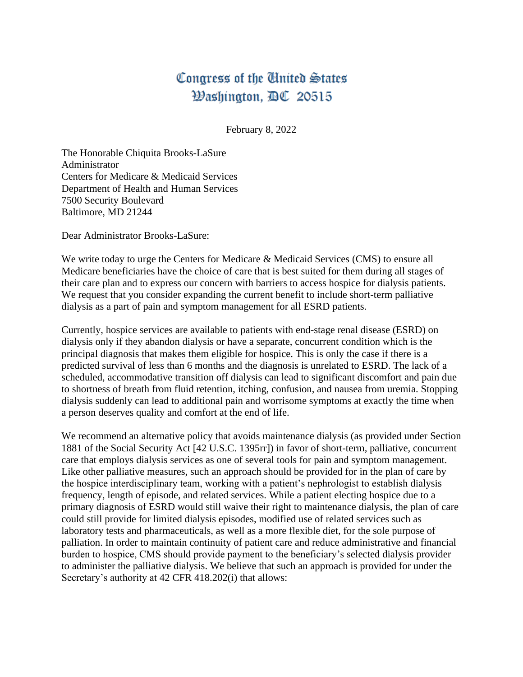## Congress of the United States Washington, DC 20515

February 8, 2022

The Honorable Chiquita Brooks-LaSure Administrator Centers for Medicare & Medicaid Services Department of Health and Human Services 7500 Security Boulevard Baltimore, MD 21244

Dear Administrator Brooks-LaSure:

We write today to urge the Centers for Medicare & Medicaid Services (CMS) to ensure all Medicare beneficiaries have the choice of care that is best suited for them during all stages of their care plan and to express our concern with barriers to access hospice for dialysis patients. We request that you consider expanding the current benefit to include short-term palliative dialysis as a part of pain and symptom management for all ESRD patients.

Currently, hospice services are available to patients with end-stage renal disease (ESRD) on dialysis only if they abandon dialysis or have a separate, concurrent condition which is the principal diagnosis that makes them eligible for hospice. This is only the case if there is a predicted survival of less than 6 months and the diagnosis is unrelated to ESRD. The lack of a scheduled, accommodative transition off dialysis can lead to significant discomfort and pain due to shortness of breath from fluid retention, itching, confusion, and nausea from uremia. Stopping dialysis suddenly can lead to additional pain and worrisome symptoms at exactly the time when a person deserves quality and comfort at the end of life.

We recommend an alternative policy that avoids maintenance dialysis (as provided under Section 1881 of the Social Security Act [42 U.S.C. 1395rr]) in favor of short-term, palliative, concurrent care that employs dialysis services as one of several tools for pain and symptom management. Like other palliative measures, such an approach should be provided for in the plan of care by the hospice interdisciplinary team, working with a patient's nephrologist to establish dialysis frequency, length of episode, and related services. While a patient electing hospice due to a primary diagnosis of ESRD would still waive their right to maintenance dialysis, the plan of care could still provide for limited dialysis episodes, modified use of related services such as laboratory tests and pharmaceuticals, as well as a more flexible diet, for the sole purpose of palliation. In order to maintain continuity of patient care and reduce administrative and financial burden to hospice, CMS should provide payment to the beneficiary's selected dialysis provider to administer the palliative dialysis. We believe that such an approach is provided for under the Secretary's authority at 42 CFR 418.202(i) that allows: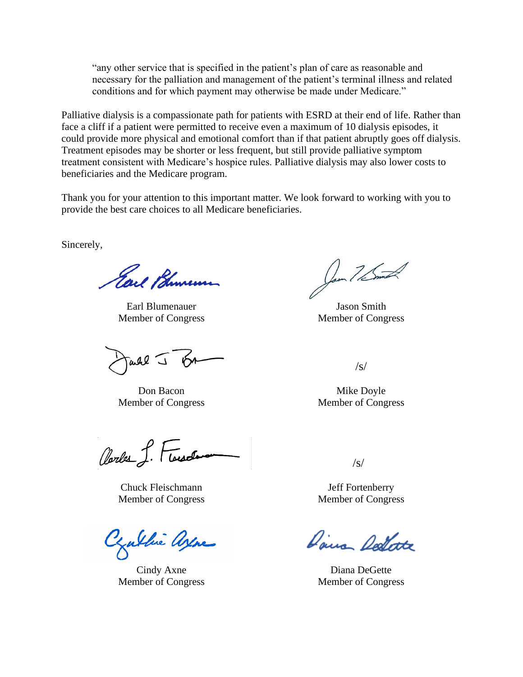"any other service that is specified in the patient's plan of care as reasonable and necessary for the palliation and management of the patient's terminal illness and related conditions and for which payment may otherwise be made under Medicare."

Palliative dialysis is a compassionate path for patients with ESRD at their end of life. Rather than face a cliff if a patient were permitted to receive even a maximum of 10 dialysis episodes, it could provide more physical and emotional comfort than if that patient abruptly goes off dialysis. Treatment episodes may be shorter or less frequent, but still provide palliative symptom treatment consistent with Medicare's hospice rules. Palliative dialysis may also lower costs to beneficiaries and the Medicare program.

Thank you for your attention to this important matter. We look forward to working with you to provide the best care choices to all Medicare beneficiaries.

Sincerely,

Earl Bhumen

Earl Blumenauer Jason Smith Member of Congress Member of Congress

Tarke J

Don Bacon Mike Doyle

Clarles S. Flassela

Chuck Fleischmann Jeff Fortenberry Member of Congress Member of Congress

Juthie Ayne

Con 7/5ml

/s/

Member of Congress Member of Congress

 $\sqrt{s}$ 

Dairs Dellate

Cindy Axne Diana DeGette Member of Congress Member of Congress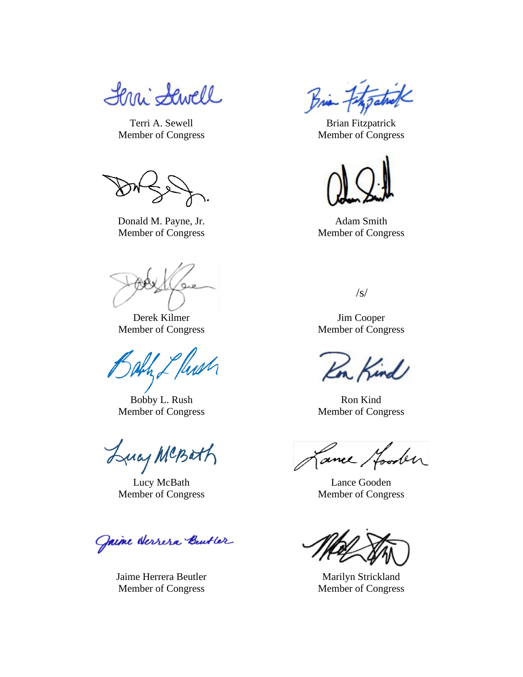Lerri Sewell

Donald M. Payne, Jr. Adam Smith Member of Congress Member of Congress

Derek Kilmer Jim Cooper

Eflush

Bobby L. Rush Ron Kind

Lucy MCBath

Lucy McBath Lance Gooden

Jaime Herrera Butter

Jaime Herrera Beutler Marilyn Strickland Member of Congress Member of Congress

Brian Fitzgatul

Terri A. Sewell Brian Fitzpatrick Member of Congress Member of Congress



 $\sqrt{s/2}$ 

Member of Congress Member of Congress

Kind

Member of Congress Member of Congress

Cance Hooden

Member of Congress Member of Congress